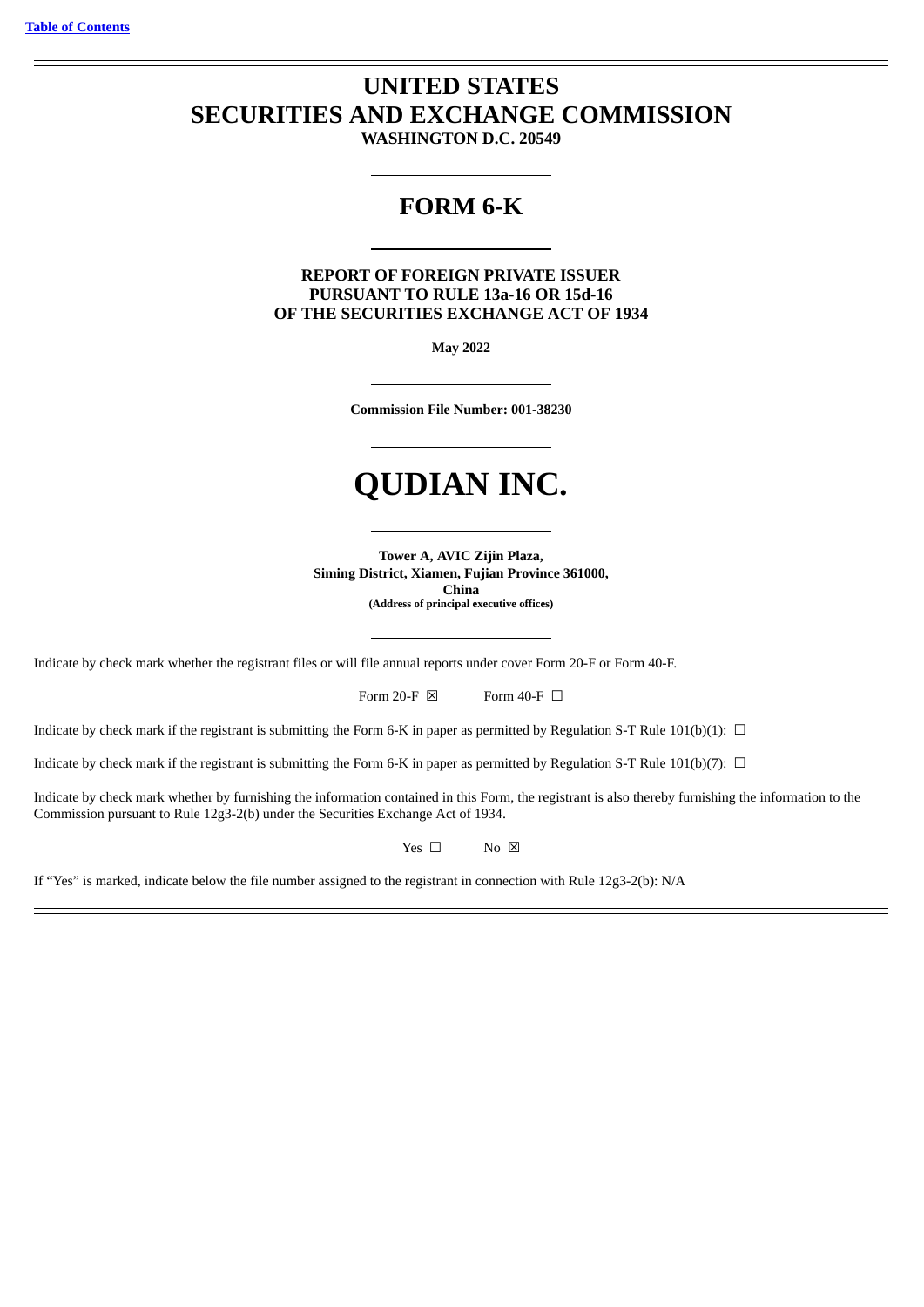# **UNITED STATES SECURITIES AND EXCHANGE COMMISSION**

# **WASHINGTON D.C. 20549**

# **FORM 6-K**

**REPORT OF FOREIGN PRIVATE ISSUER PURSUANT TO RULE 13a-16 OR 15d-16 OF THE SECURITIES EXCHANGE ACT OF 1934**

**May 2022**

**Commission File Number: 001-38230**

# **QUDIAN INC.**

**Tower A, AVIC Zijin Plaza, Siming District, Xiamen, Fujian Province 361000, China (Address of principal executive offices)**

Indicate by check mark whether the registrant files or will file annual reports under cover Form 20-F or Form 40-F.

Form 20-F  $\boxtimes$  Form 40-F  $\Box$ 

Indicate by check mark if the registrant is submitting the Form 6-K in paper as permitted by Regulation S-T Rule 101(b)(1):  $\Box$ 

Indicate by check mark if the registrant is submitting the Form 6-K in paper as permitted by Regulation S-T Rule 101(b)(7):  $\Box$ 

Indicate by check mark whether by furnishing the information contained in this Form, the registrant is also thereby furnishing the information to the Commission pursuant to Rule 12g3-2(b) under the Securities Exchange Act of 1934.

 $Yes \Box$  No  $\boxtimes$ 

If "Yes" is marked, indicate below the file number assigned to the registrant in connection with Rule 12g3-2(b): N/A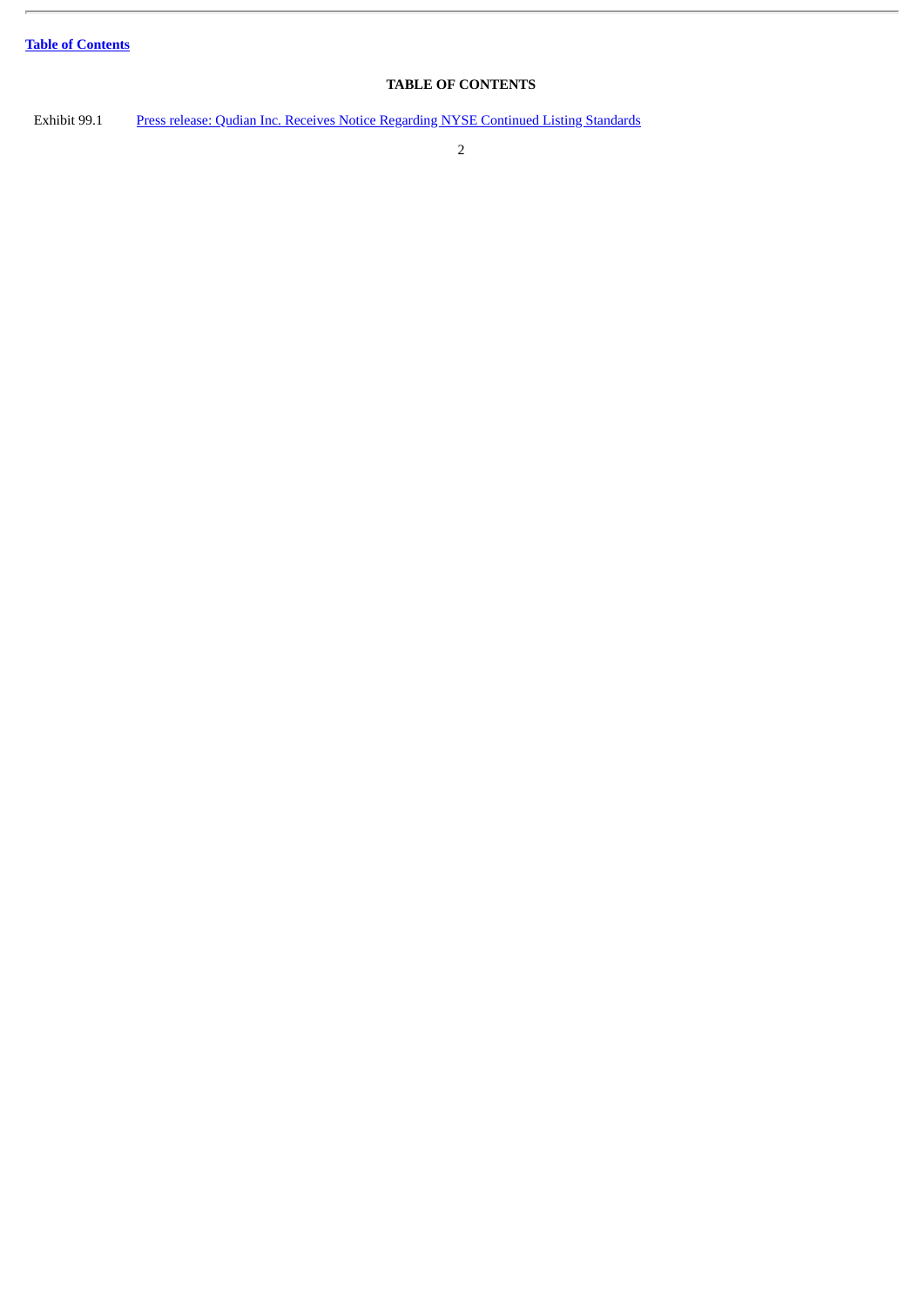ł.

## **TABLE OF CONTENTS**

<span id="page-1-0"></span>Exhibit 99.1 Press release: Qudian Inc. Receives Notice Regarding NYSE [Continued](#page-3-0) Listing Standards

2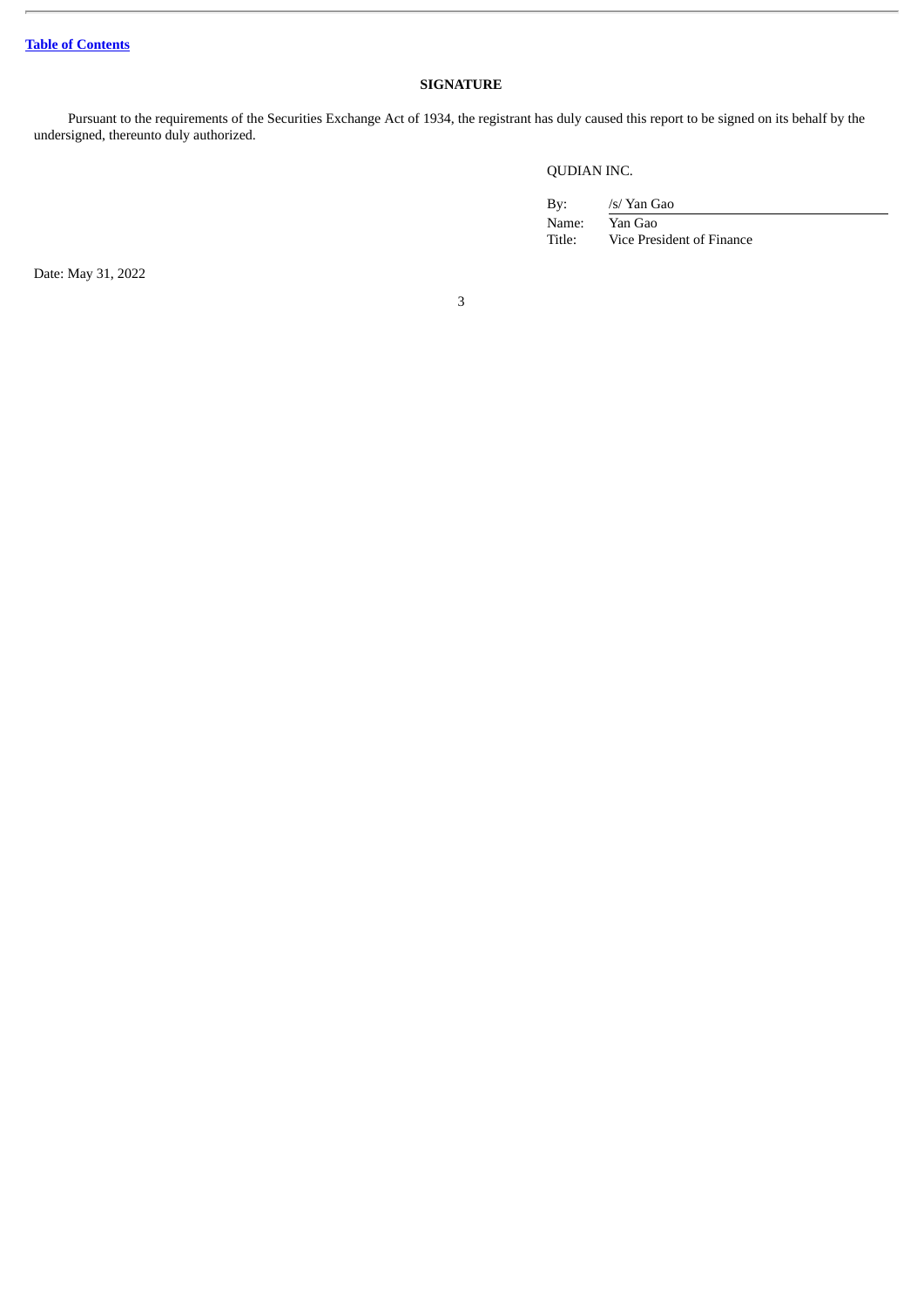## **SIGNATURE**

Pursuant to the requirements of the Securities Exchange Act of 1934, the registrant has duly caused this report to be signed on its behalf by the undersigned, thereunto duly authorized.

QUDIAN INC.

By: /s/ Yan Gao Name: Yan Gao Title: Vice President of Finance

Date: May 31, 2022

3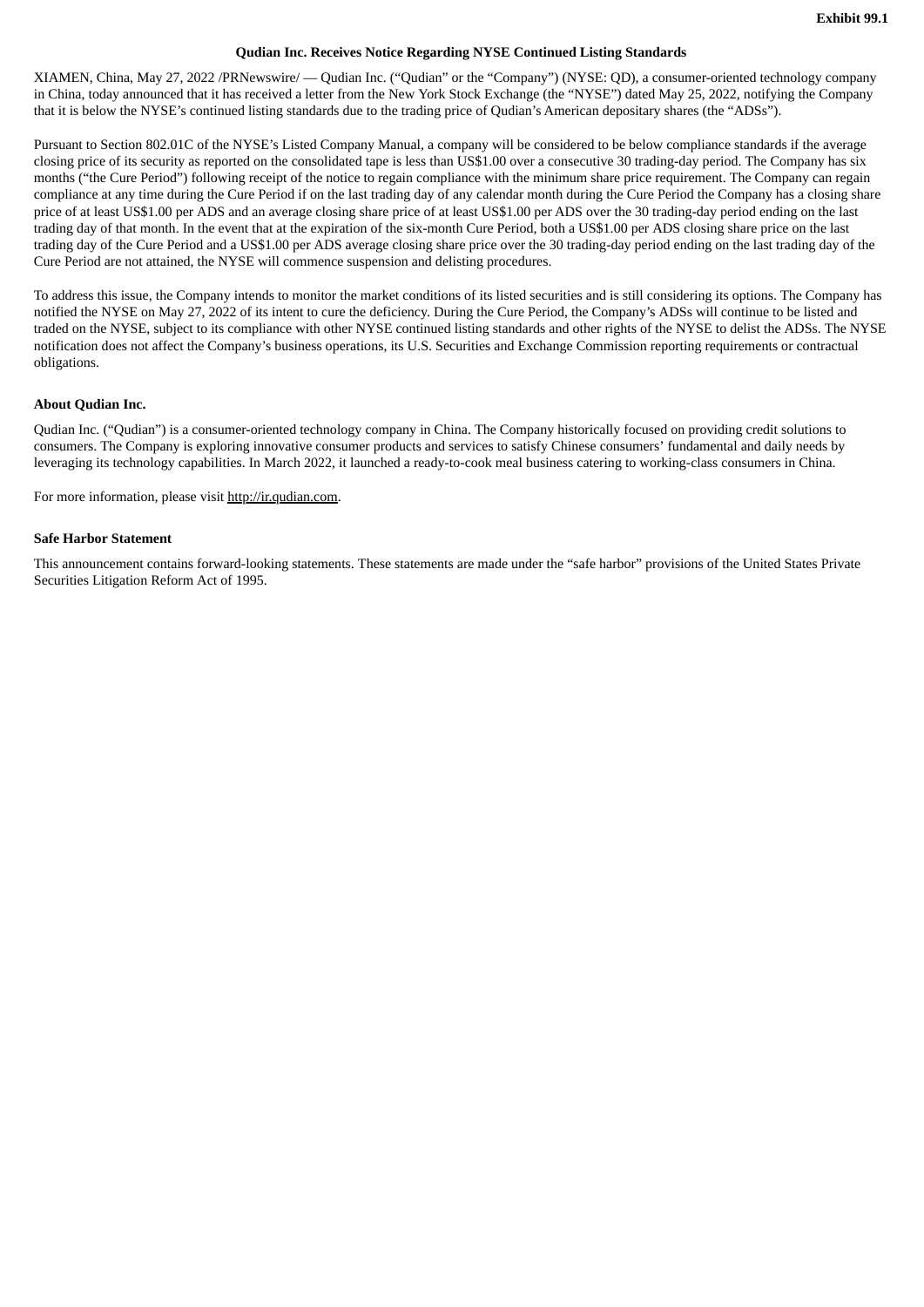### **Qudian Inc. Receives Notice Regarding NYSE Continued Listing Standards**

<span id="page-3-0"></span>XIAMEN, China, May 27, 2022 /PRNewswire/ — Qudian Inc. ("Qudian" or the "Company") (NYSE: QD), a consumer-oriented technology company in China, today announced that it has received a letter from the New York Stock Exchange (the "NYSE") dated May 25, 2022, notifying the Company that it is below the NYSE's continued listing standards due to the trading price of Qudian's American depositary shares (the "ADSs").

Pursuant to Section 802.01C of the NYSE's Listed Company Manual, a company will be considered to be below compliance standards if the average closing price of its security as reported on the consolidated tape is less than US\$1.00 over a consecutive 30 trading-day period. The Company has six months ("the Cure Period") following receipt of the notice to regain compliance with the minimum share price requirement. The Company can regain compliance at any time during the Cure Period if on the last trading day of any calendar month during the Cure Period the Company has a closing share price of at least US\$1.00 per ADS and an average closing share price of at least US\$1.00 per ADS over the 30 trading-day period ending on the last trading day of that month. In the event that at the expiration of the six-month Cure Period, both a US\$1.00 per ADS closing share price on the last trading day of the Cure Period and a US\$1.00 per ADS average closing share price over the 30 trading-day period ending on the last trading day of the Cure Period are not attained, the NYSE will commence suspension and delisting procedures.

To address this issue, the Company intends to monitor the market conditions of its listed securities and is still considering its options. The Company has notified the NYSE on May 27, 2022 of its intent to cure the deficiency. During the Cure Period, the Company's ADSs will continue to be listed and traded on the NYSE, subject to its compliance with other NYSE continued listing standards and other rights of the NYSE to delist the ADSs. The NYSE notification does not affect the Company's business operations, its U.S. Securities and Exchange Commission reporting requirements or contractual obligations.

#### **About Qudian Inc.**

Qudian Inc. ("Qudian") is a consumer-oriented technology company in China. The Company historically focused on providing credit solutions to consumers. The Company is exploring innovative consumer products and services to satisfy Chinese consumers' fundamental and daily needs by leveraging its technology capabilities. In March 2022, it launched a ready-to-cook meal business catering to working-class consumers in China.

For more information, please visit http://ir.qudian.com.

#### **Safe Harbor Statement**

This announcement contains forward-looking statements. These statements are made under the "safe harbor" provisions of the United States Private Securities Litigation Reform Act of 1995.